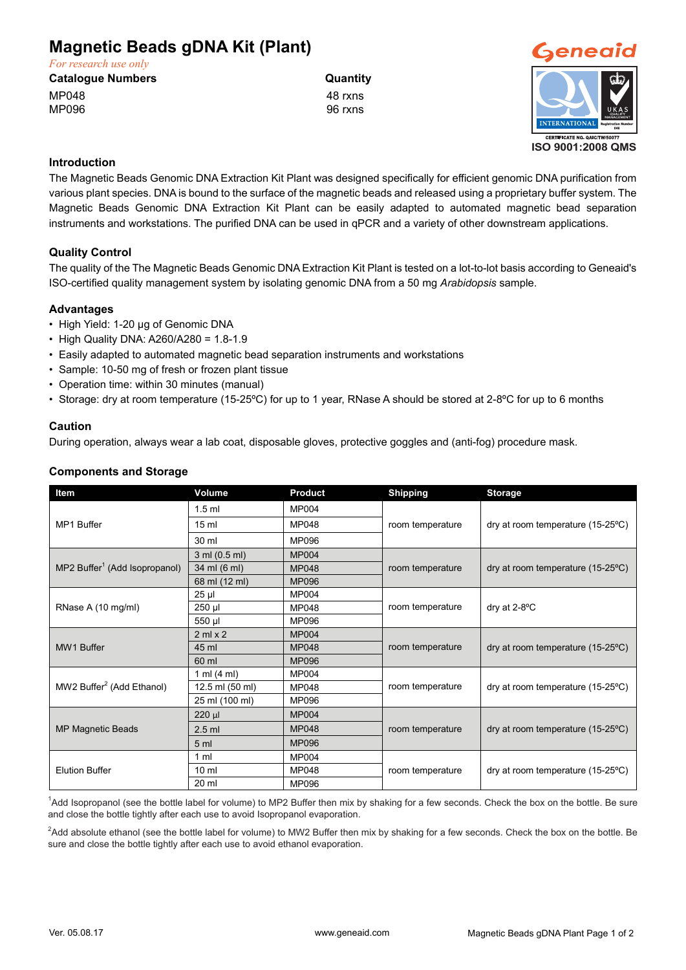# **Magnetic Beads gDNA Kit (Plant)**

*For research use only*

**Catalogue Numbers Catalogue Numbers** Quantity

MP048 48 rxns MP096 96 rxns



**ISO 9001:2008 QMS**

### **Introduction**

The Magnetic Beads Genomic DNA Extraction Kit Plant was designed specifically for efficient genomic DNA purification from various plant species. DNA is bound to the surface of the magnetic beads and released using a proprietary buffer system. The Magnetic Beads Genomic DNA Extraction Kit Plant can be easily adapted to automated magnetic bead separation instruments and workstations. The purified DNA can be used in qPCR and a variety of other downstream applications.

## **Quality Control**

The quality of the The Magnetic Beads Genomic DNA Extraction Kit Plant is tested on a lot-to-lot basis according to Geneaid's ISO-certified quality management system by isolating genomic DNA from a 50 mg *Arabidopsis* sample.

### **Advantages**

- High Yield: 1-20 µg of Genomic DNA
- High Quality DNA: A260/A280 = 1.8-1.9
- Easily adapted to automated magnetic bead separation instruments and workstations
- Sample: 10-50 mg of fresh or frozen plant tissue
- Operation time: within 30 minutes (manual)
- Storage: dry at room temperature (15-25ºC) for up to 1 year, RNase A should be stored at 2-8ºC for up to 6 months

#### **Caution**

During operation, always wear a lab coat, disposable gloves, protective goggles and (anti-fog) procedure mask.

#### **Components and Storage**

| Item                                      | Volume                | <b>Product</b> | <b>Shipping</b>  | <b>Storage</b>                             |
|-------------------------------------------|-----------------------|----------------|------------------|--------------------------------------------|
| MP1 Buffer                                | $1.5$ ml              | <b>MP004</b>   | room temperature | dry at room temperature (15-25°C)          |
|                                           | 15 <sub>ml</sub>      | <b>MP048</b>   |                  |                                            |
|                                           | 30 ml                 | <b>MP096</b>   |                  |                                            |
| MP2 Buffer <sup>1</sup> (Add Isopropanol) | 3 ml (0.5 ml)         | <b>MP004</b>   | room temperature | dry at room temperature $(15-25^{\circ}C)$ |
|                                           | 34 ml (6 ml)          | <b>MP048</b>   |                  |                                            |
|                                           | 68 ml (12 ml)         | <b>MP096</b>   |                  |                                            |
| RNase A (10 mg/ml)                        | 25 µl                 | <b>MP004</b>   | room temperature | dry at $2-8$ <sup>o</sup> C                |
|                                           | 250 µl                | <b>MP048</b>   |                  |                                            |
|                                           | 550 µl                | MP096          |                  |                                            |
| <b>MW1 Buffer</b>                         | $2$ ml $\times$ 2     | <b>MP004</b>   | room temperature | dry at room temperature (15-25°C)          |
|                                           | 45 ml                 | <b>MP048</b>   |                  |                                            |
|                                           | 60 ml                 | <b>MP096</b>   |                  |                                            |
| MW2 Buffer <sup>2</sup> (Add Ethanol)     | 1 ml $(4 \text{ ml})$ | <b>MP004</b>   | room temperature | dry at room temperature (15-25°C)          |
|                                           | 12.5 ml (50 ml)       | <b>MP048</b>   |                  |                                            |
|                                           | 25 ml (100 ml)        | MP096          |                  |                                            |
| <b>MP Magnetic Beads</b>                  | $220 \mu$             | <b>MP004</b>   | room temperature | dry at room temperature (15-25 °C)         |
|                                           | $2.5$ ml              | <b>MP048</b>   |                  |                                            |
|                                           | 5 <sub>ml</sub>       | <b>MP096</b>   |                  |                                            |
| <b>Elution Buffer</b>                     | 1 ml                  | <b>MP004</b>   | room temperature | dry at room temperature $(15-25\degree C)$ |
|                                           | 10 <sub>m</sub>       | <b>MP048</b>   |                  |                                            |
|                                           | 20 ml                 | MP096          |                  |                                            |

<sup>1</sup>Add Isopropanol (see the bottle label for volume) to MP2 Buffer then mix by shaking for a few seconds. Check the box on the bottle. Be sure and close the bottle tightly after each use to avoid Isopropanol evaporation.

 $^2$ Add absolute ethanol (see the bottle label for volume) to MW2 Buffer then mix by shaking for a few seconds. Check the box on the bottle. Be sure and close the bottle tightly after each use to avoid ethanol evaporation.